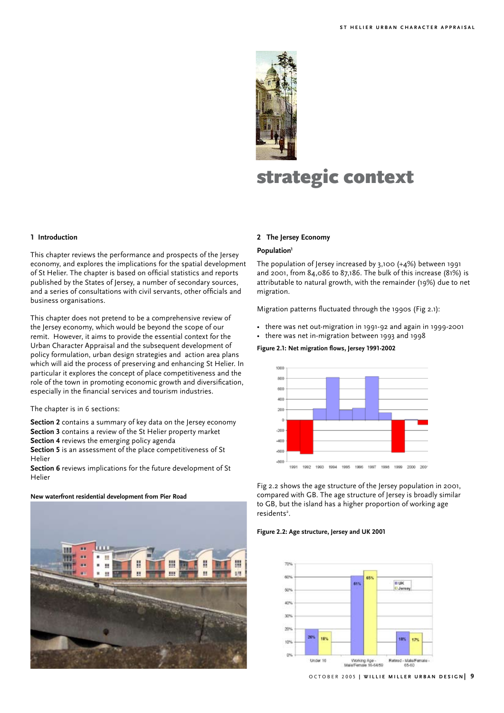

# strategic context

## **1 Introduction**

This chapter reviews the performance and prospects of the Jersey economy, and explores the implications for the spatial development of St Helier. The chapter is based on official statistics and reports published by the States of Jersey, a number of secondary sources, and a series of consultations with civil servants, other officials and business organisations.

This chapter does not pretend to be a comprehensive review of the Jersey economy, which would be beyond the scope of our remit. However, it aims to provide the essential context for the Urban Character Appraisal and the subsequent development of policy formulation, urban design strategies and action area plans which will aid the process of preserving and enhancing St Helier. In particular it explores the concept of place competitiveness and the role of the town in promoting economic growth and diversification, especially in the financial services and tourism industries.

#### The chapter is in 6 sections:

**Section 2** contains a summary of key data on the Jersey economy

- **Section 3** contains a review of the St Helier property market
- **Section 4** reviews the emerging policy agenda

**Section 5** is an assessment of the place competitiveness of St Helier

**Section 6** reviews implications for the future development of St Helier

#### **New waterfront residential development from Pier Road**



# **2 The Jersey Economy**

# **Population1**

The population of Jersey increased by 3,100 (+4%) between 1991 and 2001, from 84,086 to 87,186. The bulk of this increase (81%) is attributable to natural growth, with the remainder (19%) due to net migration.

Migration patterns fluctuated through the 1990s (Fig 2.1):

- there was net out-migration in 1991-92 and again in 1999-2001
- there was net in-migration between 1993 and 1998

#### **Figure 2.1: Net migration flows, Jersey 1991-2002**



Fig 2.2 shows the age structure of the Jersey population in 2001, compared with GB. The age structure of Jersey is broadly similar to GB, but the island has a higher proportion of working age residents<sup>2</sup>.

#### **Figure 2.2: Age structure, Jersey and UK 2001**

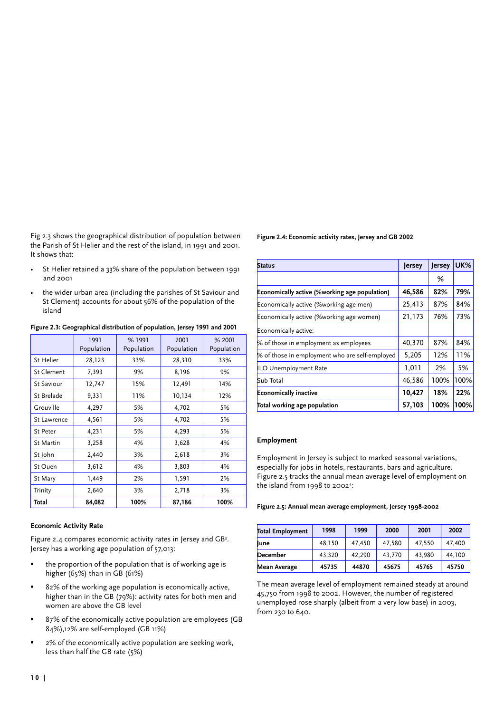Fig 2.3 shows the geographical distribution of population between the Parish of St Helier and the rest of the island, in 1991 and 2001. It shows that:

- St Helier retained a 33% share of the population between 1991 and 2001
- the wider urban area (including the parishes of St Saviour and St Clement) accounts for about 56% of the population of the island

|                    | 1991<br>Population | % 1991<br>Population | 2001<br>Population | % 2001<br>Population |
|--------------------|--------------------|----------------------|--------------------|----------------------|
| St Helier          | 28,123             | 33%                  | 28,310             | 33%                  |
| St Clement         | 7,393              | 9%                   | 8,196              | 9%                   |
| <b>St Saviour</b>  | 12,747             | 15%                  | 12,491             | 14%                  |
| St Brelade         | 9,331              | 11%                  | 10,134             | 12%                  |
| Grouville          | 4,297              | 5%                   | 4,702              | 5%                   |
| <b>St Lawrence</b> | 4,561              | 5%                   | 4,702              | 5%                   |
| <b>St Peter</b>    | 4,231              | 5%                   | 4,293              | 5%                   |
| St Martin          | 3,258              | 4%                   | 3,628              | 4%                   |
| St John            | 2,440              | 3%                   | 2,618              | 3%                   |
| St Ouen            | 3,612              | 4%                   | 3,803              | 4%                   |
| St Mary            | 1,449              | 2%                   | 1,591              | 2%                   |
| Trinity            | 2,640              | 3%                   | 2,718              | 3%                   |
| Total              | 84,082             | 100%                 | 87,186             | 100%                 |

**Figure 2.3: Geographical distribution of population, Jersey 1991 and 2001**

# **Economic Activity Rate**

Figure 2.4 compares economic activity rates in Jersey and GB<sup>3</sup>. Jersey has a working age population of 57,013:

- the proportion of the population that is of working age is higher (65%) than in GB (61%)
- 82% of the working age population is economically active, higher than in the GB (79%): activity rates for both men and women are above the GB level
- 87% of the economically active population are employees (GB 84%),12% are self-employed (GB 11%)
- 2% of the economically active population are seeking work, less than half the GB rate (5%)

# **Figure 2.4: Economic activity rates, Jersey and GB 2002**

| <b>Status</b>                                  | Jersey | <b>Jersey</b> | <b>UK%</b> |
|------------------------------------------------|--------|---------------|------------|
|                                                |        | %             |            |
| Economically active (%working age population)  | 46,586 | 82%           | 79%        |
| Economically active (%working age men)         | 25,413 | 87%           | 84%        |
| Economically active (%working age women)       | 21,173 | 76%           | 73%        |
| Economically active:                           |        |               |            |
| % of those in employment as employees          | 40,370 | 87%           | 84%        |
| % of those in employment who are self-employed | 5,205  | 12%           | 11%        |
| ILO Unemployment Rate                          | 1,011  | 2%            | 5%         |
| Sub Total                                      | 46,586 | 100%          | 100%       |
| <b>Economically inactive</b>                   | 10,427 | 18%           | 22%        |
| Total working age population                   | 57,103 | 100%          | 100%       |

# **Employment**

Employment in Jersey is subject to marked seasonal variations, especially for jobs in hotels, restaurants, bars and agriculture. Figure 2.5 tracks the annual mean average level of employment on the island from 1998 to 20024 :

**Figure 2.5: Annual mean average employment, Jersey 1998-2002**

| <b>Total Employment</b> | 1998   | 1999   | 2000   | 2001   | 2002   |
|-------------------------|--------|--------|--------|--------|--------|
| lune                    | 48.150 | 47.450 | 47.580 | 47,550 | 47,400 |
| <b>December</b>         | 43.320 | 42.290 | 43,770 | 43.980 | 44.100 |
| <b>Mean Average</b>     | 45735  | 44870  | 45675  | 45765  | 45750  |

The mean average level of employment remained steady at around 45,750 from 1998 to 2002. However, the number of registered unemployed rose sharply (albeit from a very low base) in 2003, from 230 to 640.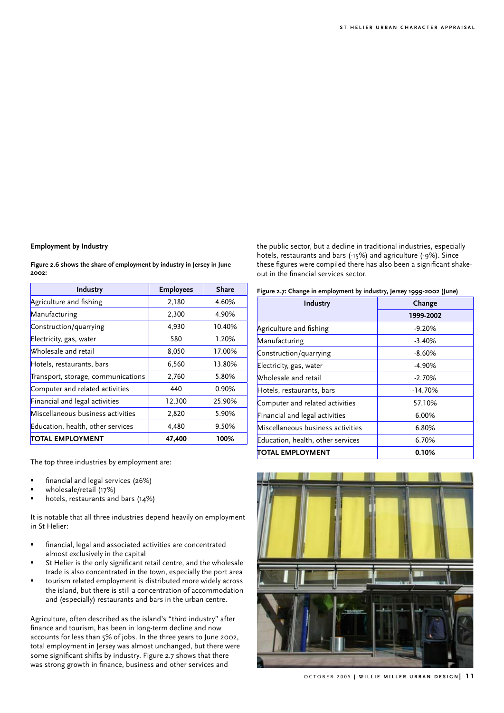# **Employment by Industry**

**Figure 2.6 shows the share of employment by industry in Jersey in June 2002:**

| Industry                           | <b>Employees</b> | <b>Share</b> |
|------------------------------------|------------------|--------------|
| Agriculture and fishing            | 2,180            | 4.60%        |
| Manufacturing                      | 2,300            | 4.90%        |
| Construction/quarrying             | 4,930            | 10.40%       |
| Electricity, gas, water            | 580              | 1.20%        |
| Wholesale and retail               | 8,050            | 17.00%       |
| Hotels, restaurants, bars          | 6,560            | 13.80%       |
| Transport, storage, communications | 2,760            | 5.80%        |
| Computer and related activities    | 440              | $0.90\%$     |
| Financial and legal activities     | 12,300           | 25.90%       |
| Miscellaneous business activities  | 2,820            | 5.90%        |
| Education, health, other services  | 4,480            | 9.50%        |
| <b>TOTAL EMPLOYMENT</b>            | 47,400           | 100%         |

The top three industries by employment are:

- financial and legal services (26%)
- wholesale/retail (17%)
- hotels, restaurants and bars (14%)

It is notable that all three industries depend heavily on employment in St Helier:

- financial, legal and associated activities are concentrated almost exclusively in the capital
- St Helier is the only significant retail centre, and the wholesale trade is also concentrated in the town, especially the port area
- tourism related employment is distributed more widely across the island, but there is still a concentration of accommodation and (especially) restaurants and bars in the urban centre.

Agriculture, often described as the island's "third industry" after finance and tourism, has been in long-term decline and now accounts for less than 5% of jobs. In the three years to June 2002, total employment in Jersey was almost unchanged, but there were some significant shifts by industry. Figure 2.7 shows that there was strong growth in finance, business and other services and

the public sector, but a decline in traditional industries, especially hotels, restaurants and bars (-15%) and agriculture (-9%). Since these figures were compiled there has also been a significant shakeout in the financial services sector.

| Figure 2.7: Change in employment by industry, Jersey 1999-2002 (June) |  |  |
|-----------------------------------------------------------------------|--|--|
|-----------------------------------------------------------------------|--|--|

| Industry                          | Change    |  |
|-----------------------------------|-----------|--|
|                                   | 1999-2002 |  |
| Agriculture and fishing           | $-9.20%$  |  |
| Manufacturing                     | $-3.40%$  |  |
| Construction/quarrying            | $-8.60%$  |  |
| Electricity, gas, water           | $-4.90%$  |  |
| Wholesale and retail              | $-2.70%$  |  |
| Hotels, restaurants, bars         | $-14.70%$ |  |
| Computer and related activities   | 57.10%    |  |
| Financial and legal activities    | 6.00%     |  |
| Miscellaneous business activities | 6.80%     |  |
| Education, health, other services | 6.70%     |  |
| TOTAL EMPLOYMENT                  | $0.10\%$  |  |



OCTOBER 2005 | WILLIE MILLER URBAN DESIGN | 11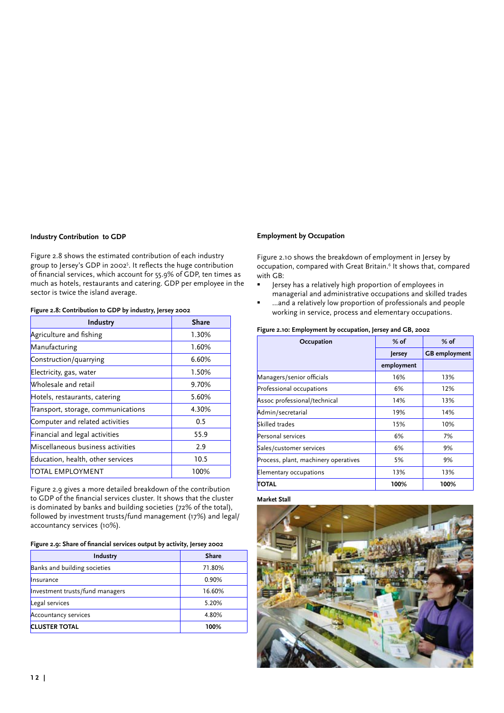# **Industry Contribution to GDP**

Figure 2.8 shows the estimated contribution of each industry group to Jersey's GDP in 2002<sup>5</sup> . It reflects the huge contribution of financial services, which account for 55.9% of GDP, ten times as much as hotels, restaurants and catering. GDP per employee in the sector is twice the island average.

# **Figure 2.8: Contribution to GDP by industry, Jersey 2002**

| Industry                           | <b>Share</b> |
|------------------------------------|--------------|
| Agriculture and fishing            | 1.30%        |
| Manufacturing                      | 1.60%        |
| Construction/quarrying             | 6.60%        |
| Electricity, gas, water            | 1.50%        |
| Wholesale and retail               | 9.70%        |
| Hotels, restaurants, catering      | 5.60%        |
| Transport, storage, communications | 4.30%        |
| Computer and related activities    | 0.5          |
| Financial and legal activities     | 55.9         |
| Miscellaneous business activities  | 2.9          |
| Education, health, other services  | 10.5         |
| TOTAL EMPLOYMENT                   | 100%         |

Figure 2.9 gives a more detailed breakdown of the contribution to GDP of the financial services cluster. It shows that the cluster is dominated by banks and building societies (72% of the total), followed by investment trusts/fund management (17%) and legal/ accountancy services (10%).

## **Figure 2.9: Share of financial services output by activity, Jersey 2002**

| Industry                        | Share  |
|---------------------------------|--------|
| Banks and building societies    | 71.80% |
| Insurance                       | 0.90%  |
| Investment trusts/fund managers | 16.60% |
| Legal services                  | 5.20%  |
| <b>Accountancy services</b>     | 4.80%  |
| <b>CLUSTER TOTAL</b>            | 100%   |

# **Employment by Occupation**

Figure 2.10 shows the breakdown of employment in Jersey by occupation, compared with Great Britain.<sup>6</sup> It shows that, compared with GB:

- Jersey has a relatively high proportion of employees in managerial and administrative occupations and skilled trades
- …and a relatively low proportion of professionals and people working in service, process and elementary occupations.

# **Figure 2.10: Employment by occupation, Jersey and GB, 2002**

| Occupation                           | $%$ of     | $%$ of               |
|--------------------------------------|------------|----------------------|
|                                      | Jersey     | <b>GB</b> employment |
|                                      | employment |                      |
| Managers/senior officials            | 16%        | 13%                  |
| Professional occupations             | 6%         | 12%                  |
| Assoc professional/technical         | 14%        | 13%                  |
| Admin/secretarial                    | 19%        | 14%                  |
| Skilled trades                       | 15%        | 10%                  |
| Personal services                    | 6%         | 7%                   |
| Sales/customer services              | 6%         | 9%                   |
| Process, plant, machinery operatives | 5%         | 9%                   |
| Elementary occupations               | 13%        | 13%                  |
| TOTAL                                | 100%       | 100%                 |

#### **Market Stall**

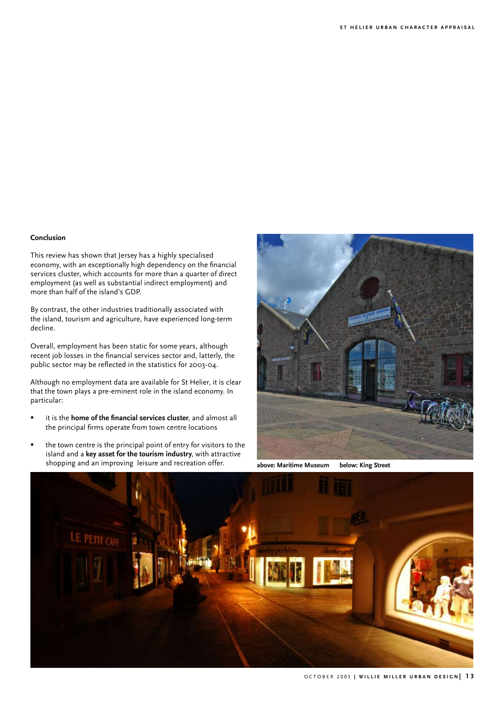# **Conclusion**

This review has shown that Jersey has a highly specialised economy, with an exceptionally high dependency on the financial services cluster, which accounts for more than a quarter of direct employment (as well as substantial indirect employment) and more than half of the island's GDP.

By contrast, the other industries traditionally associated with the island, tourism and agriculture, have experienced long-term decline.

Overall, employment has been static for some years, although recent job losses in the financial services sector and, latterly, the public sector may be reflected in the statistics for 2003-04.

Although no employment data are available for St Helier, it is clear that the town plays a pre-eminent role in the island economy. In particular:

- it is the **home of the financial services cluster**, and almost all the principal firms operate from town centre locations
- the town centre is the principal point of entry for visitors to the island and a **key asset for the tourism industry**, with attractive shopping and an improving leisure and recreation offer. **above: Maritime Museum below: King Street**



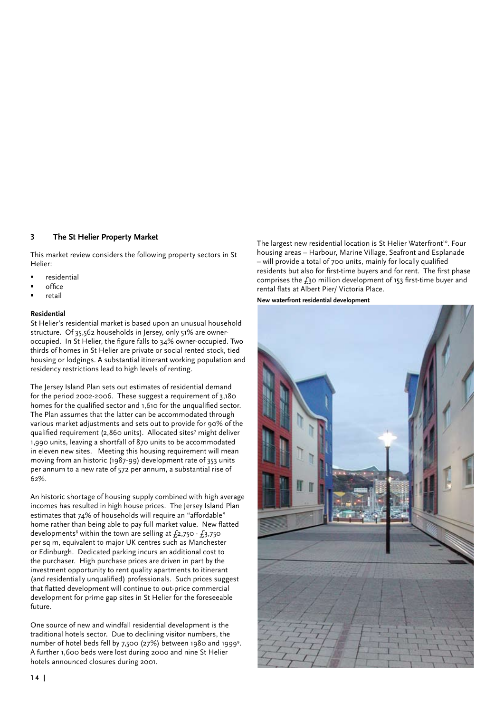# **3 The St Helier Property Market**

This market review considers the following property sectors in St Helier:

- residential
- office
- retail

# **Residential**

St Helier's residential market is based upon an unusual household structure. Of 35,562 households in Jersey, only 51% are owneroccupied. In St Helier, the figure falls to 34% owner-occupied. Two thirds of homes in St Helier are private or social rented stock, tied housing or lodgings. A substantial itinerant working population and residency restrictions lead to high levels of renting.

The Jersey Island Plan sets out estimates of residential demand for the period 2002-2006. These suggest a requirement of 3,180 homes for the qualified sector and 1,610 for the unqualified sector. The Plan assumes that the latter can be accommodated through various market adjustments and sets out to provide for 90% of the qualified requirement (2,860 units). Allocated sites<sup>7</sup> might deliver 1,990 units, leaving a shortfall of 870 units to be accommodated in eleven new sites. Meeting this housing requirement will mean moving from an historic (1987-99) development rate of 353 units per annum to a new rate of 572 per annum, a substantial rise of 62%.

An historic shortage of housing supply combined with high average incomes has resulted in high house prices. The Jersey Island Plan estimates that 74% of households will require an "affordable" home rather than being able to pay full market value. New flatted developments<sup>8</sup> within the town are selling at  $f_2$ ,750 -  $f_3$ ,750 per sq m, equivalent to major UK centres such as Manchester or Edinburgh. Dedicated parking incurs an additional cost to the purchaser. High purchase prices are driven in part by the investment opportunity to rent quality apartments to itinerant (and residentially unqualified) professionals. Such prices suggest that flatted development will continue to out-price commercial development for prime gap sites in St Helier for the foreseeable future.

One source of new and windfall residential development is the traditional hotels sector. Due to declining visitor numbers, the number of hotel beds fell by 7,500 (27%) between 1980 and 19999. A further 1,600 beds were lost during 2000 and nine St Helier hotels announced closures during 2001.

The largest new residential location is St Helier Waterfront<sup>10</sup>. Four housing areas – Harbour, Marine Village, Seafront and Esplanade – will provide a total of 700 units, mainly for locally qualified residents but also for first-time buyers and for rent. The first phase comprises the  $f_3$ o million development of 153 first-time buyer and rental flats at Albert Pier/ Victoria Place.

**New waterfront residential development**

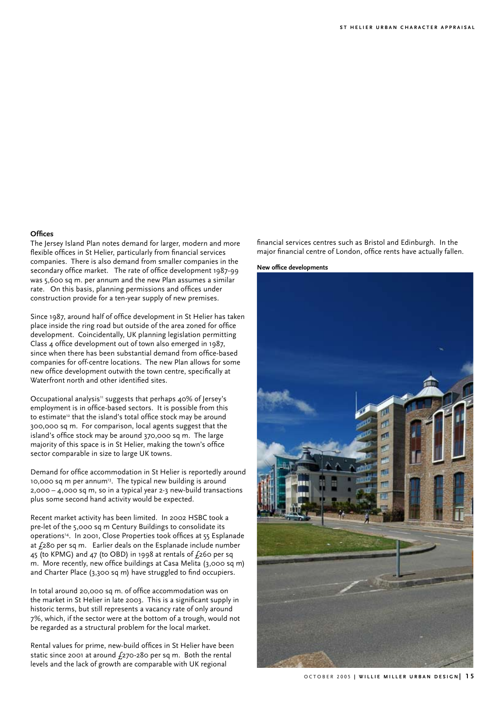#### **Offices**

The Jersey Island Plan notes demand for larger, modern and more flexible offices in St Helier, particularly from financial services companies. There is also demand from smaller companies in the secondary office market. The rate of office development 1987-99 was 5,600 sq m. per annum and the new Plan assumes a similar rate. On this basis, planning permissions and offices under construction provide for a ten-year supply of new premises.

Since 1987, around half of office development in St Helier has taken place inside the ring road but outside of the area zoned for office development. Coincidentally, UK planning legislation permitting Class 4 office development out of town also emerged in 1987, since when there has been substantial demand from office-based companies for off-centre locations. The new Plan allows for some new office development outwith the town centre, specifically at Waterfront north and other identified sites.

Occupational analysis<sup>11</sup> suggests that perhaps 40% of Jersey's employment is in office-based sectors. It is possible from this to estimate<sup>12</sup> that the island's total office stock may be around 300,000 sq m. For comparison, local agents suggest that the island's office stock may be around 370,000 sq m. The large majority of this space is in St Helier, making the town's office sector comparable in size to large UK towns.

Demand for office accommodation in St Helier is reportedly around 10,000 sq m per annum<sup>13</sup>. The typical new building is around 2,000 – 4,000 sq m, so in a typical year 2-3 new-build transactions plus some second hand activity would be expected.

Recent market activity has been limited. In 2002 HSBC took a pre-let of the 5,000 sq m Century Buildings to consolidate its operations14. In 2001, Close Properties took offices at 55 Esplanade at  $f_2$ 80 per sq m. Earlier deals on the Esplanade include number 45 (to KPMG) and 47 (to OBD) in 1998 at rentals of  $f_2$ 60 per sq m. More recently, new office buildings at Casa Melita (3,000 sq m) and Charter Place (3,300 sq m) have struggled to find occupiers.

In total around 20,000 sq m. of office accommodation was on the market in St Helier in late 2003. This is a significant supply in historic terms, but still represents a vacancy rate of only around 7%, which, if the sector were at the bottom of a trough, would not be regarded as a structural problem for the local market.

Rental values for prime, new-build offices in St Helier have been static since 2001 at around  $f_{270-280}$  per sq m. Both the rental levels and the lack of growth are comparable with UK regional

financial services centres such as Bristol and Edinburgh. In the major financial centre of London, office rents have actually fallen.

**New office developments**

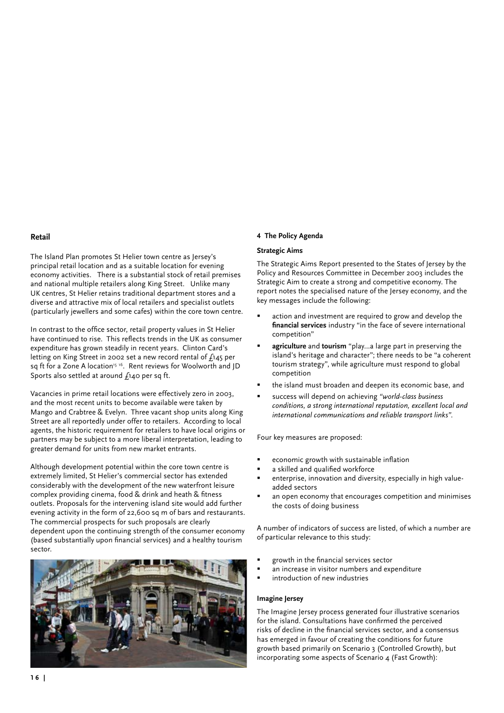# **Retail**

The Island Plan promotes St Helier town centre as Jersey's principal retail location and as a suitable location for evening economy activities. There is a substantial stock of retail premises and national multiple retailers along King Street. Unlike many UK centres, St Helier retains traditional department stores and a diverse and attractive mix of local retailers and specialist outlets (particularly jewellers and some cafes) within the core town centre.

In contrast to the office sector, retail property values in St Helier have continued to rise. This reflects trends in the UK as consumer expenditure has grown steadily in recent years. Clinton Card's letting on King Street in 2002 set a new record rental of £145 per sq ft for a Zone A location<sup>15 16</sup>. Rent reviews for Woolworth and JD Sports also settled at around £140 per sq ft.

Vacancies in prime retail locations were effectively zero in 2003, and the most recent units to become available were taken by Mango and Crabtree & Evelyn. Three vacant shop units along King Street are all reportedly under offer to retailers. According to local agents, the historic requirement for retailers to have local origins or partners may be subject to a more liberal interpretation, leading to greater demand for units from new market entrants.

Although development potential within the core town centre is extremely limited, St Helier's commercial sector has extended considerably with the development of the new waterfront leisure complex providing cinema, food & drink and heath & fitness outlets. Proposals for the intervening island site would add further evening activity in the form of 22,600 sq m of bars and restaurants. The commercial prospects for such proposals are clearly dependent upon the continuing strength of the consumer economy (based substantially upon financial services) and a healthy tourism sector.



# **4 The Policy Agenda**

# **Strategic Aims**

The Strategic Aims Report presented to the States of Jersey by the Policy and Resources Committee in December 2003 includes the Strategic Aim to create a strong and competitive economy. The report notes the specialised nature of the Jersey economy, and the key messages include the following:

- action and investment are required to grow and develop the **financial services** industry "in the face of severe international competition"
- **agriculture** and **tourism** "play…a large part in preserving the island's heritage and character"; there needs to be "a coherent tourism strategy", while agriculture must respond to global competition
- the island must broaden and deepen its economic base, and
- success will depend on achieving *"world-class business conditions, a strong international reputation, excellent local and international communications and reliable transport links".*

Four key measures are proposed:

- economic growth with sustainable inflation
- a skilled and qualified workforce
- enterprise, innovation and diversity, especially in high valueadded sectors
- an open economy that encourages competition and minimises the costs of doing business

A number of indicators of success are listed, of which a number are of particular relevance to this study:

- growth in the financial services sector
- an increase in visitor numbers and expenditure
- introduction of new industries

# **Imagine Jersey**

The Imagine Jersey process generated four illustrative scenarios for the island. Consultations have confirmed the perceived risks of decline in the financial services sector, and a consensus has emerged in favour of creating the conditions for future growth based primarily on Scenario 3 (Controlled Growth), but incorporating some aspects of Scenario 4 (Fast Growth):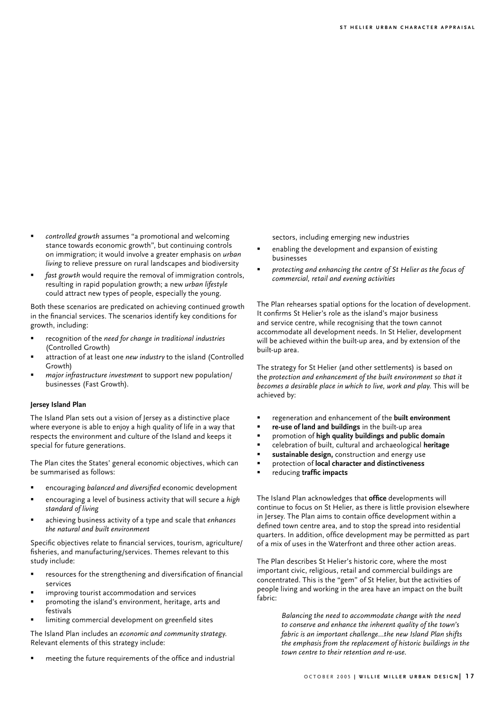- *controlled growth* assumes "a promotional and welcoming stance towards economic growth", but continuing controls on immigration; it would involve a greater emphasis on *urban living* to relieve pressure on rural landscapes and biodiversity
- *fast growth* would require the removal of immigration controls, resulting in rapid population growth; a new *urban lifestyle* could attract new types of people, especially the young.

Both these scenarios are predicated on achieving continued growth in the financial services. The scenarios identify key conditions for growth, including:

- recognition of the *need for change in traditional industries*  (Controlled Growth)
- attraction of at least one *new industry* to the island (Controlled Growth)
- *major infrastructure investment* to support new population/ businesses (Fast Growth).

# **Jersey Island Plan**

The Island Plan sets out a vision of Jersey as a distinctive place where everyone is able to enjoy a high quality of life in a way that respects the environment and culture of the Island and keeps it special for future generations.

The Plan cites the States' general economic objectives, which can be summarised as follows:

- encouraging *balanced and diversified* economic development
- encouraging a level of business activity that will secure a *high standard of living*
- achieving business activity of a type and scale that *enhances the natural and built environment*

Specific objectives relate to financial services, tourism, agriculture/ fisheries, and manufacturing/services. Themes relevant to this study include:

- resources for the strengthening and diversification of financial services
- improving tourist accommodation and services
- promoting the island's environment, heritage, arts and festivals
- limiting commercial development on greenfield sites

The Island Plan includes an *economic and community strategy.* Relevant elements of this strategy include:

 meeting the future requirements of the office and industrial

sectors, including emerging new industries

- enabling the development and expansion of existing businesses
- *protecting and enhancing the centre of St Helier as the focus of commercial, retail and evening activities*

The Plan rehearses spatial options for the location of development. It confirms St Helier's role as the island's major business and service centre, while recognising that the town cannot accommodate all development needs. In St Helier, development will be achieved within the built-up area, and by extension of the built-up area.

The strategy for St Helier (and other settlements) is based on the *protection and enhancement of the built environment so that it becomes a desirable place in which to live, work and play.* This will be achieved by:

- regeneration and enhancement of the **built environment**
- **re-use of land and buildings** in the built-up area
- promotion of **high quality buildings and public domain**
- celebration of built, cultural and archaeological **heritage**
- **sustainable design,** construction and energy use
- protection of **local character and distinctiveness**
- reducing **traffic impacts**

The Island Plan acknowledges that **office** developments will continue to focus on St Helier, as there is little provision elsewhere in Jersey. The Plan aims to contain office development within a defined town centre area, and to stop the spread into residential quarters. In addition, office development may be permitted as part of a mix of uses in the Waterfront and three other action areas.

The Plan describes St Helier's historic core, where the most important civic, religious, retail and commercial buildings are concentrated. This is the "gem" of St Helier, but the activities of people living and working in the area have an impact on the built fabric:

> *Balancing the need to accommodate change with the need to conserve and enhance the inherent quality of the town's fabric is an important challenge…the new Island Plan shifts the emphasis from the replacement of historic buildings in the town centre to their retention and re-use.*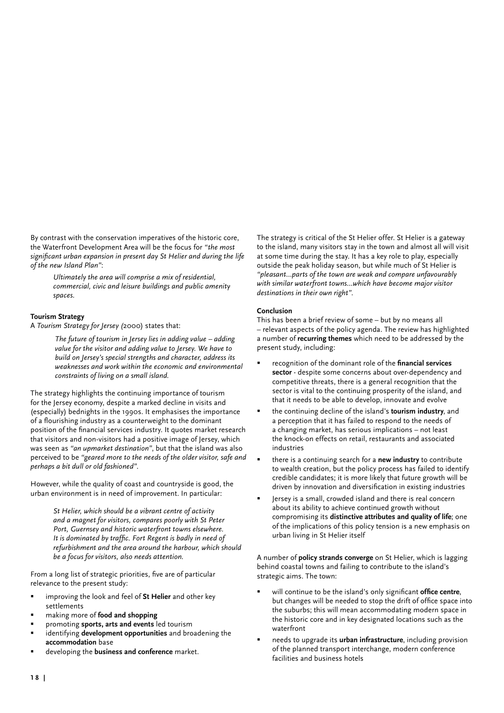By contrast with the conservation imperatives of the historic core, the Waterfront Development Area will be the focus for *"the most significant urban expansion in present day St Helier and during the life of the new Island Plan"*:

> *Ultimately the area will comprise a mix of residential, commercial, civic and leisure buildings and public amenity spaces.*

# **Tourism Strategy**

A *Tourism Strategy for Jersey (*2000) states that:

*The future of tourism in Jersey lies in adding value – adding value for the visitor and adding value to Jersey. We have to build on Jersey's special strengths and character, address its weaknesses and work within the economic and environmental constraints of living on a small island.*

The strategy highlights the continuing importance of tourism for the Jersey economy, despite a marked decline in visits and (especially) bednights in the 1990s. It emphasises the importance of a flourishing industry as a counterweight to the dominant position of the financial services industry. It quotes market research that visitors and non-visitors had a positive image of Jersey, which was seen as *"an upmarket destination"*, but that the island was also perceived to be *"geared more to the needs of the older visitor, safe and perhaps a bit dull or old fashioned"*.

However, while the quality of coast and countryside is good, the urban environment is in need of improvement. In particular:

> *St Helier, which should be a vibrant centre of activity and a magnet for visitors, compares poorly with St Peter Port, Guernsey and historic waterfront towns elsewhere. It is dominated by traffic. Fort Regent is badly in need of refurbishment and the area around the harbour, which should be a focus for visitors, also needs attention.*

From a long list of strategic priorities, five are of particular relevance to the present study:

- improving the look and feel of **St Helier** and other key settlements
- making more of **food and shopping**
- promoting **sports, arts and events** led tourism
- identifying **development opportunities** and broadening the **accommodation** base
- developing the **business and conference** market.

The strategy is critical of the St Helier offer. St Helier is a gateway to the island, many visitors stay in the town and almost all will visit at some time during the stay. It has a key role to play, especially outside the peak holiday season, but while much of St Helier is *"pleasant…parts of the town are weak and compare unfavourably with similar waterfront towns…which have become major visitor destinations in their own right"*.

# **Conclusion**

This has been a brief review of some – but by no means all – relevant aspects of the policy agenda. The review has highlighted a number of **recurring themes** which need to be addressed by the present study, including:

- recognition of the dominant role of the **financial services sector** - despite some concerns about over-dependency and competitive threats, there is a general recognition that the sector is vital to the continuing prosperity of the island, and that it needs to be able to develop, innovate and evolve
- the continuing decline of the island's **tourism industry**, and a perception that it has failed to respond to the needs of a changing market, has serious implications – not least the knock-on effects on retail, restaurants and associated industries
- there is a continuing search for a **new industry** to contribute to wealth creation, but the policy process has failed to identify credible candidates; it is more likely that future growth will be driven by innovation and diversification in existing industries
- Jersey is a small, crowded island and there is real concern about its ability to achieve continued growth without compromising its **distinctive attributes and quality of life**; one of the implications of this policy tension is a new emphasis on urban living in St Helier itself

A number of **policy strands converge** on St Helier, which is lagging behind coastal towns and failing to contribute to the island's strategic aims. The town:

- will continue to be the island's only significant **office centre**, but changes will be needed to stop the drift of office space into the suburbs; this will mean accommodating modern space in the historic core and in key designated locations such as the waterfront
- needs to upgrade its **urban infrastructure**, including provision of the planned transport interchange, modern conference facilities and business hotels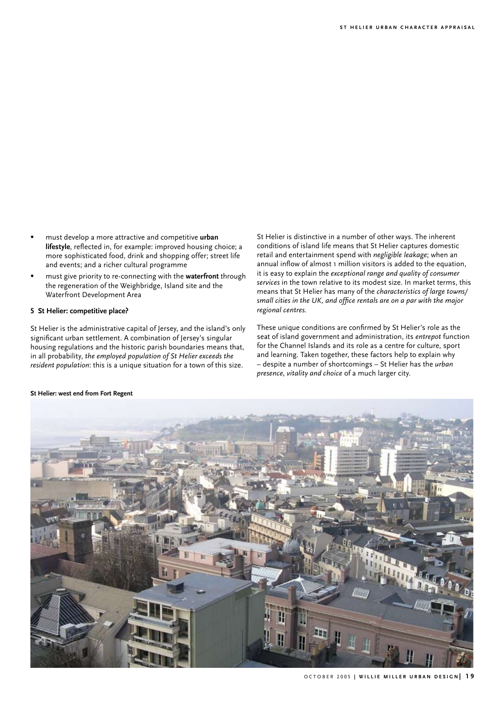- must develop a more attractive and competitive **urban lifestyle**, reflected in, for example: improved housing choice; a more sophisticated food, drink and shopping offer; street life and events; and a richer cultural programme
- must give priority to re-connecting with the **waterfront** through the regeneration of the Weighbridge, Island site and the Waterfront Development Area

# **5 St Helier: competitive place?**

St Helier is the administrative capital of Jersey, and the island's only significant urban settlement. A combination of Jersey's singular housing regulations and the historic parish boundaries means that, in all probability, *the employed population of St Helier exceeds the resident population*: this is a unique situation for a town of this size.

St Helier is distinctive in a number of other ways. The inherent conditions of island life means that St Helier captures domestic retail and entertainment spend with *negligible leakage*; when an annual inflow of almost 1 million visitors is added to the equation, it is easy to explain the *exceptional range and quality of consumer services* in the town relative to its modest size. In market terms, this means that St Helier has many of the *characteristics of large towns/ small cities in the UK, and office rentals are on a par with the major regional centres.*

These unique conditions are confirmed by St Helier's role as the seat of island government and administration, its *entrepot* function for the Channel Islands and its role as a centre for culture, sport and learning. Taken together, these factors help to explain why – despite a number of shortcomings – St Helier has the *urban presence, vitality and choice* of a much larger city.



## **St Helier: west end from Fort Regent**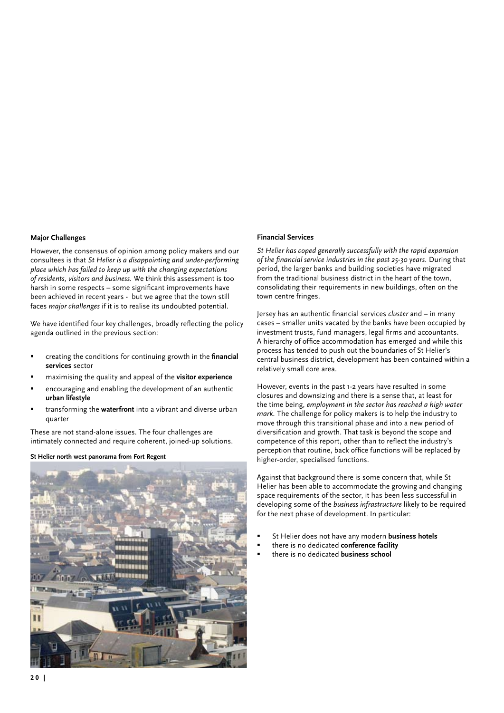#### **Major Challenges**

However, the consensus of opinion among policy makers and our consultees is that *St Helier is a disappointing and under-performing place which has failed to keep up with the changing expectations of residents, visitors and business.* We think this assessment is too harsh in some respects – some significant improvements have been achieved in recent years - but we agree that the town still faces *major challenges* if it is to realise its undoubted potential.

We have identified four key challenges, broadly reflecting the policy agenda outlined in the previous section:

- creating the conditions for continuing growth in the **financial services** sector
- maximising the quality and appeal of the **visitor experience**
- encouraging and enabling the development of an authentic **urban lifestyle**
- transforming the **waterfront** into a vibrant and diverse urban quarter

These are not stand-alone issues. The four challenges are intimately connected and require coherent, joined-up solutions.

#### **St Helier north west panorama from Fort Regent**



# **Financial Services**

*St Helier has coped generally successfully with the rapid expansion of the financial service industries in the past 25-30 years.* During that period, the larger banks and building societies have migrated from the traditional business district in the heart of the town, consolidating their requirements in new buildings, often on the town centre fringes.

Jersey has an authentic financial services *cluster* and – in many cases – smaller units vacated by the banks have been occupied by investment trusts, fund managers, legal firms and accountants. A hierarchy of office accommodation has emerged and while this process has tended to push out the boundaries of St Helier's central business district, development has been contained within a relatively small core area.

However, events in the past 1-2 years have resulted in some closures and downsizing and there is a sense that, at least for the time being, *employment in the sector has reached a high water mark.* The challenge for policy makers is to help the industry to move through this transitional phase and into a new period of diversification and growth. That task is beyond the scope and competence of this report, other than to reflect the industry's perception that routine, back office functions will be replaced by higher-order, specialised functions.

Against that background there is some concern that, while St Helier has been able to accommodate the growing and changing space requirements of the sector, it has been less successful in developing some of the *business infrastructure* likely to be required for the next phase of development. In particular:

- St Helier does not have any modern **business hotels**
- there is no dedicated **conference facility**
- there is no dedicated **business school**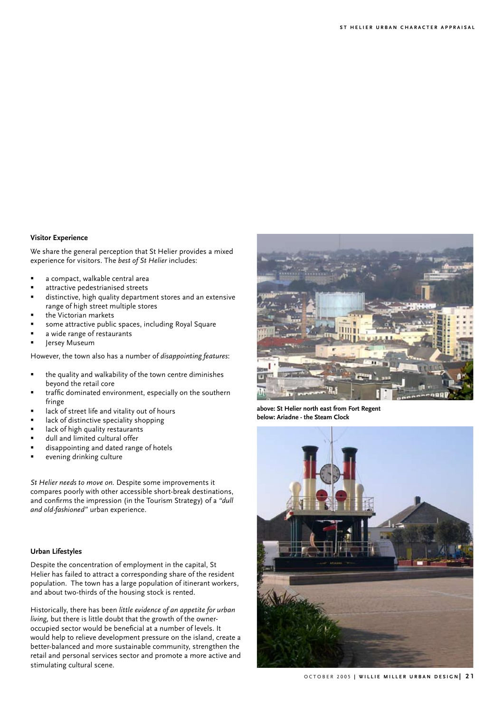# **Visitor Experience**

We share the general perception that St Helier provides a mixed experience for visitors. The *best of St Helier* includes:

- a compact, walkable central area
- attractive pedestrianised streets
- distinctive, high quality department stores and an extensive range of high street multiple stores
- the Victorian markets
- some attractive public spaces, including Royal Square
- a wide range of restaurants
- Jersey Museum

However, the town also has a number of *disappointing features*:

- the quality and walkability of the town centre diminishes beyond the retail core
- traffic dominated environment, especially on the southern fringe
- lack of street life and vitality out of hours
- lack of distinctive speciality shopping
- lack of high quality restaurants
- dull and limited cultural offer
- disappointing and dated range of hotels
- evening drinking culture

*St Helier needs to move on.* Despite some improvements it compares poorly with other accessible short-break destinations, and confirms the impression (in the Tourism Strategy) of a *"dull and old-fashioned"* urban experience.

# **Urban Lifestyles**

Despite the concentration of employment in the capital, St Helier has failed to attract a corresponding share of the resident population. The town has a large population of itinerant workers, and about two-thirds of the housing stock is rented.

Historically, there has been *little evidence of an appetite for urban living,* but there is little doubt that the growth of the owneroccupied sector would be beneficial at a number of levels. It would help to relieve development pressure on the island, create a better-balanced and more sustainable community, strengthen the retail and personal services sector and promote a more active and stimulating cultural scene.



**above: St Helier north east from Fort Regent below: Ariadne - the Steam Clock**

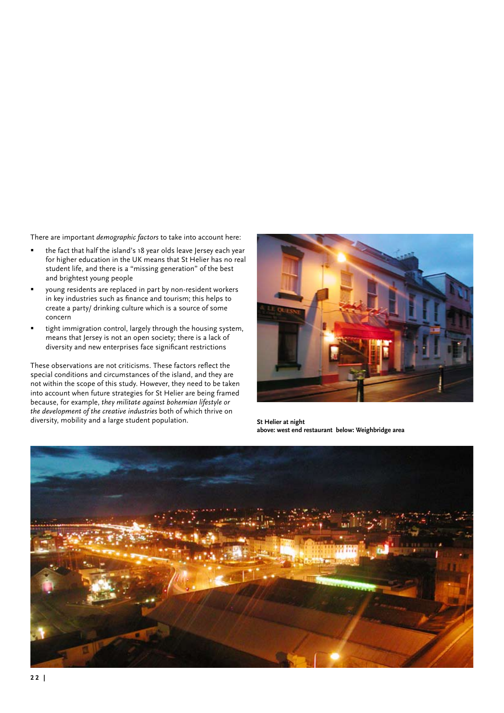There are important *demographic factors* to take into account here:

- the fact that half the island's 18 year olds leave Jersey each year for higher education in the UK means that St Helier has no real student life, and there is a "missing generation" of the best and brightest young people
- young residents are replaced in part by non-resident workers in key industries such as finance and tourism; this helps to create a party/ drinking culture which is a source of some concern
- tight immigration control, largely through the housing system, means that Jersey is not an open society; there is a lack of diversity and new enterprises face significant restrictions

These observations are not criticisms. These factors reflect the special conditions and circumstances of the island, and they are not within the scope of this study. However, they need to be taken into account when future strategies for St Helier are being framed because, for example, *they militate against bohemian lifestyle or the development of the creative industries* both of which thrive on diversity, mobility and a large student population. **St Helier at night**



**above: west end restaurant below: Weighbridge area**

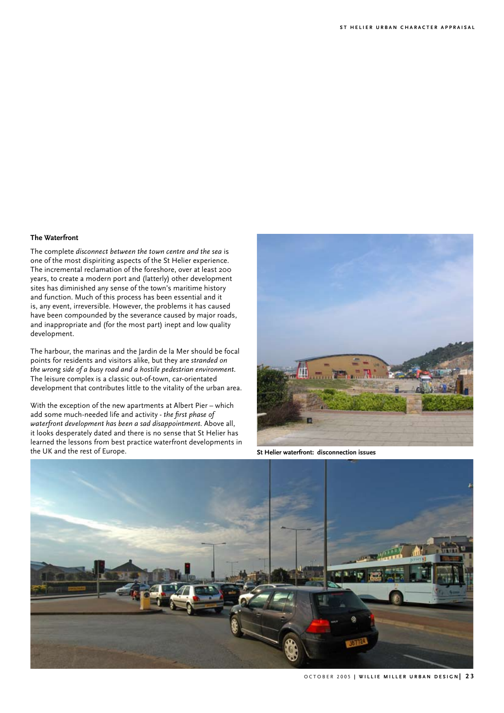# **The Waterfront**

The complete *disconnect between the town centre and the sea* is one of the most dispiriting aspects of the St Helier experience. The incremental reclamation of the foreshore, over at least 200 years, to create a modern port and (latterly) other development sites has diminished any sense of the town's maritime history and function. Much of this process has been essential and it is, any event, irreversible. However, the problems it has caused have been compounded by the severance caused by major roads, and inappropriate and (for the most part) inept and low quality development.

The harbour, the marinas and the Jardin de la Mer should be focal points for residents and visitors alike, but they are *stranded on the wrong side of a busy road and a hostile pedestrian environment.*  The leisure complex is a classic out-of-town, car-orientated development that contributes little to the vitality of the urban area.

With the exception of the new apartments at Albert Pier – which add some much-needed life and activity - *the first phase of waterfront development has been a sad disappointment.* Above all, it looks desperately dated and there is no sense that St Helier has learned the lessons from best practice waterfront developments in the UK and the rest of Europe. **St Helier waterfront: disconnection issues**



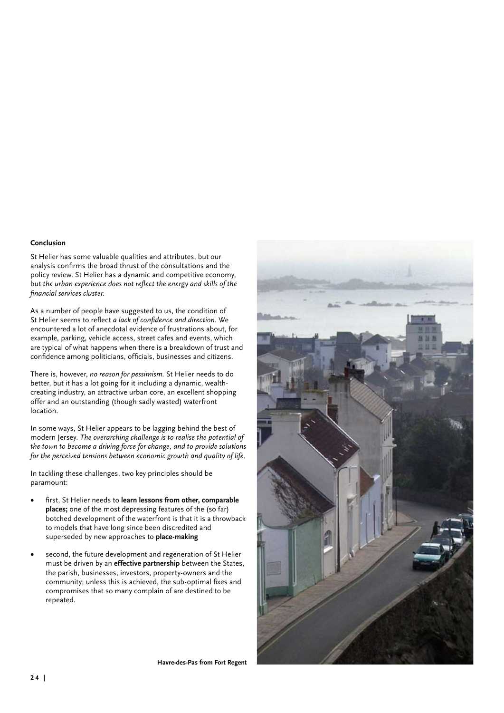# **Conclusion**

St Helier has some valuable qualities and attributes, but our analysis confirms the broad thrust of the consultations and the policy review. St Helier has a dynamic and competitive economy, but *the urban experience does not reflect the energy and skills of the financial services cluster.* 

As a number of people have suggested to us, the condition of St Helier seems to reflect *a lack of confidence and direction.* We encountered a lot of anecdotal evidence of frustrations about, for example, parking, vehicle access, street cafes and events, which are typical of what happens when there is a breakdown of trust and confidence among politicians, officials, businesses and citizens.

There is, however, *no reason for pessimism.* St Helier needs to do better, but it has a lot going for it including a dynamic, wealthcreating industry, an attractive urban core, an excellent shopping offer and an outstanding (though sadly wasted) waterfront location.

In some ways, St Helier appears to be lagging behind the best of modern Jersey. *The overarching challenge is to realise the potential of the town to become a driving force for change, and to provide solutions for the perceived tensions between economic growth and quality of life.*

In tackling these challenges, two key principles should be paramount:

- first, St Helier needs to learn lessons from other, comparable **places;** one of the most depressing features of the (so far) botched development of the waterfront is that it is a throwback to models that have long since been discredited and superseded by new approaches to **place-making**
- second, the future development and regeneration of St Helier must be driven by an **effective partnership** between the States, the parish, businesses, investors, property-owners and the community; unless this is achieved, the sub-optimal fixes and compromises that so many complain of are destined to be repeated.



**Havre-des-Pas from Fort Regent**